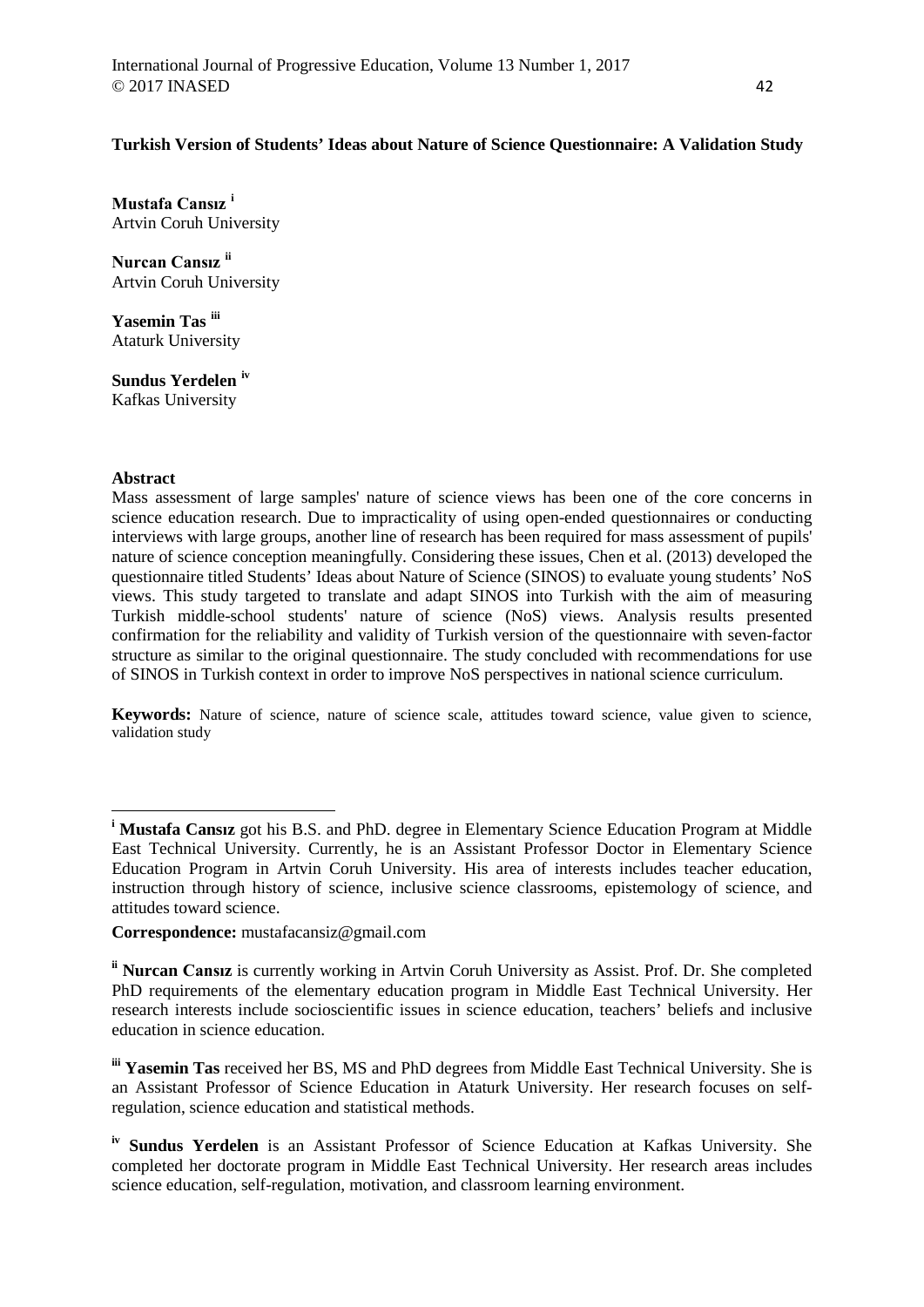# **Turkish Version of Students' Ideas about Nature of Science Questionnaire: A Validation Study**

**Mustafa Cansız [i](#page-0-0)** Artvin Coruh University

**Nurcan Cansız [ii](#page-0-1)** Artvin Coruh University

**Yasemin Tas [iii](#page-0-2)** Ataturk University

**Sundus Yerdelen [iv](#page-0-3)** Kafkas University

## **Abstract**

<u>.</u>

Mass assessment of large samples' nature of science views has been one of the core concerns in science education research. Due to impracticality of using open-ended questionnaires or conducting interviews with large groups, another line of research has been required for mass assessment of pupils' nature of science conception meaningfully. Considering these issues, Chen et al. (2013) developed the questionnaire titled Students' Ideas about Nature of Science (SINOS) to evaluate young students' NoS views. This study targeted to translate and adapt SINOS into Turkish with the aim of measuring Turkish middle-school students' nature of science (NoS) views. Analysis results presented confirmation for the reliability and validity of Turkish version of the questionnaire with seven-factor structure as similar to the original questionnaire. The study concluded with recommendations for use of SINOS in Turkish context in order to improve NoS perspectives in national science curriculum.

**Keywords:** Nature of science, nature of science scale, attitudes toward science, value given to science, validation study

**Correspondence:** mustafacansiz@gmail.com

<span id="page-0-0"></span>**<sup>i</sup> Mustafa Cansız** got his B.S. and PhD. degree in Elementary Science Education Program at Middle East Technical University. Currently, he is an Assistant Professor Doctor in Elementary Science Education Program in Artvin Coruh University. His area of interests includes teacher education, instruction through history of science, inclusive science classrooms, epistemology of science, and attitudes toward science.

<span id="page-0-1"></span>**ii Nurcan Cansız** is currently working in Artvin Coruh University as Assist. Prof. Dr. She completed PhD requirements of the elementary education program in Middle East Technical University. Her research interests include socioscientific issues in science education, teachers' beliefs and inclusive education in science education.

<span id="page-0-2"></span>**iii Yasemin Tas** received her BS, MS and PhD degrees from Middle East Technical University. She is an Assistant Professor of Science Education in Ataturk University. Her research focuses on selfregulation, science education and statistical methods.

<span id="page-0-3"></span>**iv Sundus Yerdelen** is an Assistant Professor of Science Education at Kafkas University. She completed her doctorate program in Middle East Technical University. Her research areas includes science education, self-regulation, motivation, and classroom learning environment.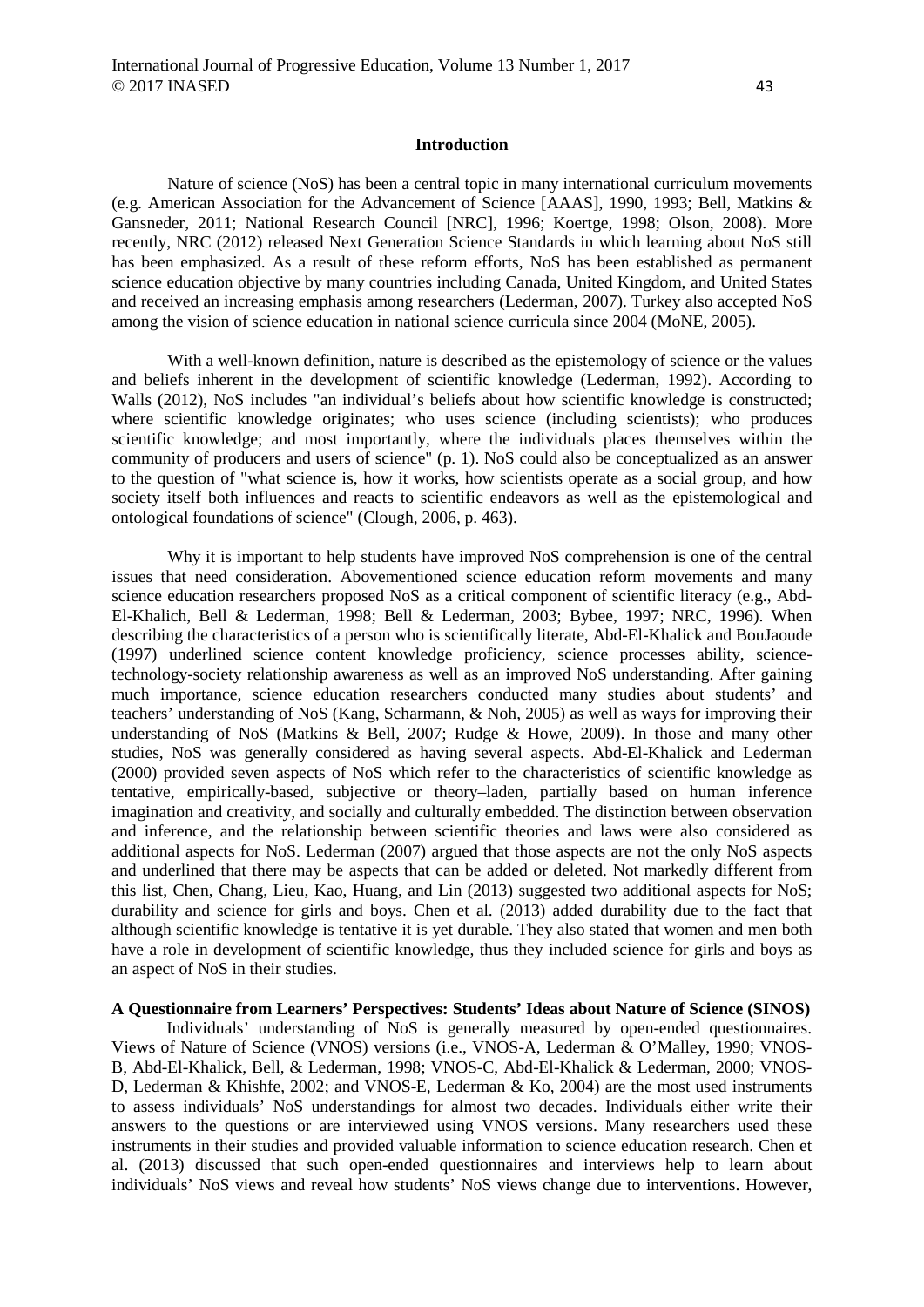#### **Introduction**

Nature of science (NoS) has been a central topic in many international curriculum movements (e.g. American Association for the Advancement of Science [AAAS], 1990, 1993; Bell, Matkins & Gansneder, 2011; National Research Council [NRC], 1996; Koertge, 1998; Olson, 2008). More recently, NRC (2012) released Next Generation Science Standards in which learning about NoS still has been emphasized. As a result of these reform efforts, NoS has been established as permanent science education objective by many countries including Canada, United Kingdom, and United States and received an increasing emphasis among researchers (Lederman, 2007). Turkey also accepted NoS among the vision of science education in national science curricula since 2004 (MoNE, 2005).

With a well-known definition, nature is described as the epistemology of science or the values and beliefs inherent in the development of scientific knowledge (Lederman, 1992). According to Walls (2012), NoS includes "an individual's beliefs about how scientific knowledge is constructed; where scientific knowledge originates; who uses science (including scientists); who produces scientific knowledge; and most importantly, where the individuals places themselves within the community of producers and users of science" (p. 1). NoS could also be conceptualized as an answer to the question of "what science is, how it works, how scientists operate as a social group, and how society itself both influences and reacts to scientific endeavors as well as the epistemological and ontological foundations of science" (Clough, 2006, p. 463).

Why it is important to help students have improved NoS comprehension is one of the central issues that need consideration. Abovementioned science education reform movements and many science education researchers proposed NoS as a critical component of scientific literacy (e.g., Abd-El-Khalich, Bell & Lederman, 1998; Bell & Lederman, 2003; Bybee, 1997; NRC, 1996). When describing the characteristics of a person who is scientifically literate, Abd-El-Khalick and BouJaoude (1997) underlined science content knowledge proficiency, science processes ability, sciencetechnology-society relationship awareness as well as an improved NoS understanding. After gaining much importance, science education researchers conducted many studies about students' and teachers' understanding of NoS (Kang, Scharmann, & Noh, 2005) as well as ways for improving their understanding of NoS (Matkins & Bell, 2007; Rudge & Howe, 2009). In those and many other studies, NoS was generally considered as having several aspects. Abd-El-Khalick and Lederman (2000) provided seven aspects of NoS which refer to the characteristics of scientific knowledge as tentative, empirically-based, subjective or theory–laden, partially based on human inference imagination and creativity, and socially and culturally embedded. The distinction between observation and inference, and the relationship between scientific theories and laws were also considered as additional aspects for NoS. Lederman (2007) argued that those aspects are not the only NoS aspects and underlined that there may be aspects that can be added or deleted. Not markedly different from this list, Chen, Chang, Lieu, Kao, Huang, and Lin (2013) suggested two additional aspects for NoS; durability and science for girls and boys. Chen et al. (2013) added durability due to the fact that although scientific knowledge is tentative it is yet durable. They also stated that women and men both have a role in development of scientific knowledge, thus they included science for girls and boys as an aspect of NoS in their studies.

## **A Questionnaire from Learners' Perspectives: Students' Ideas about Nature of Science (SINOS)**

Individuals' understanding of NoS is generally measured by open-ended questionnaires. Views of Nature of Science (VNOS) versions (i.e., VNOS-A, Lederman & O'Malley, 1990; VNOS-B, Abd-El-Khalick, Bell, & Lederman, 1998; VNOS-C, Abd-El-Khalick & Lederman, 2000; VNOS-D, Lederman & Khishfe, 2002; and VNOS-E, Lederman & Ko, 2004) are the most used instruments to assess individuals' NoS understandings for almost two decades. Individuals either write their answers to the questions or are interviewed using VNOS versions. Many researchers used these instruments in their studies and provided valuable information to science education research. Chen et al. (2013) discussed that such open-ended questionnaires and interviews help to learn about individuals' NoS views and reveal how students' NoS views change due to interventions. However,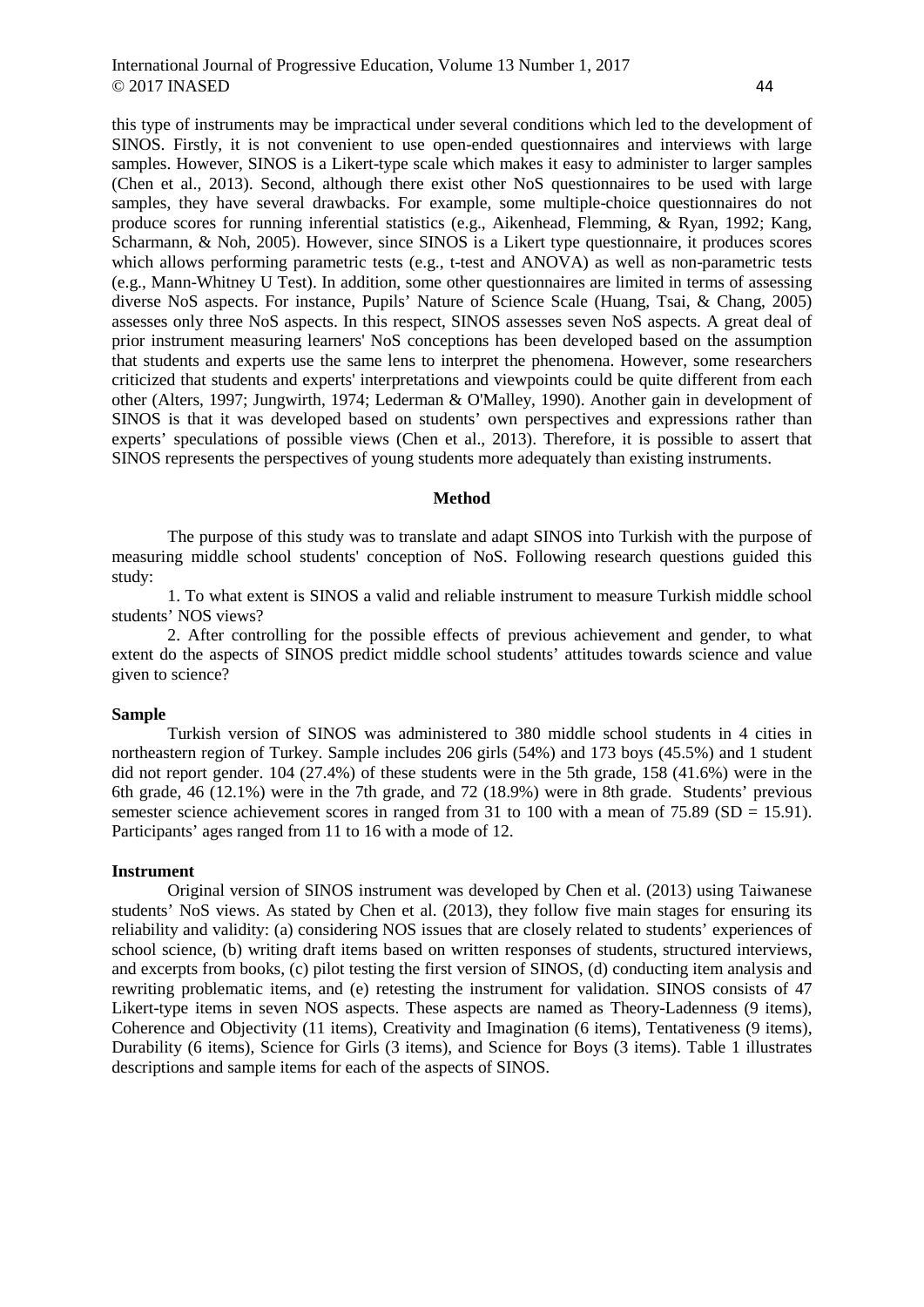this type of instruments may be impractical under several conditions which led to the development of SINOS. Firstly, it is not convenient to use open-ended questionnaires and interviews with large samples. However, SINOS is a Likert-type scale which makes it easy to administer to larger samples (Chen et al., 2013). Second, although there exist other NoS questionnaires to be used with large samples, they have several drawbacks. For example, some multiple-choice questionnaires do not produce scores for running inferential statistics (e.g., Aikenhead, Flemming, & Ryan, 1992; Kang, Scharmann, & Noh, 2005). However, since SINOS is a Likert type questionnaire, it produces scores which allows performing parametric tests (e.g., t-test and ANOVA) as well as non-parametric tests (e.g., Mann-Whitney U Test). In addition, some other questionnaires are limited in terms of assessing diverse NoS aspects. For instance, Pupils' Nature of Science Scale (Huang, Tsai, & Chang, 2005) assesses only three NoS aspects. In this respect, SINOS assesses seven NoS aspects. A great deal of prior instrument measuring learners' NoS conceptions has been developed based on the assumption that students and experts use the same lens to interpret the phenomena. However, some researchers criticized that students and experts' interpretations and viewpoints could be quite different from each other (Alters, 1997; Jungwirth, 1974; Lederman & O'Malley, 1990). Another gain in development of SINOS is that it was developed based on students' own perspectives and expressions rather than experts' speculations of possible views (Chen et al., 2013). Therefore, it is possible to assert that SINOS represents the perspectives of young students more adequately than existing instruments.

#### **Method**

The purpose of this study was to translate and adapt SINOS into Turkish with the purpose of measuring middle school students' conception of NoS. Following research questions guided this study:

1. To what extent is SINOS a valid and reliable instrument to measure Turkish middle school students' NOS views?

2. After controlling for the possible effects of previous achievement and gender, to what extent do the aspects of SINOS predict middle school students' attitudes towards science and value given to science?

#### **Sample**

Turkish version of SINOS was administered to 380 middle school students in 4 cities in northeastern region of Turkey. Sample includes 206 girls (54%) and 173 boys (45.5%) and 1 student did not report gender.  $104 (27.4%)$  of these students were in the 5th grade, 158 (41.6%) were in the 6th grade, 46 (12.1%) were in the 7th grade, and 72 (18.9%) were in 8th grade. Students' previous semester science achievement scores in ranged from 31 to 100 with a mean of 75.89 (SD = 15.91). Participants' ages ranged from 11 to 16 with a mode of 12.

#### **Instrument**

Original version of SINOS instrument was developed by Chen et al. (2013) using Taiwanese students' NoS views. As stated by Chen et al. (2013), they follow five main stages for ensuring its reliability and validity: (a) considering NOS issues that are closely related to students' experiences of school science, (b) writing draft items based on written responses of students, structured interviews, and excerpts from books, (c) pilot testing the first version of SINOS, (d) conducting item analysis and rewriting problematic items, and (e) retesting the instrument for validation. SINOS consists of 47 Likert-type items in seven NOS aspects. These aspects are named as Theory-Ladenness (9 items), Coherence and Objectivity (11 items), Creativity and Imagination (6 items), Tentativeness (9 items), Durability (6 items), Science for Girls (3 items), and Science for Boys (3 items). Table 1 illustrates descriptions and sample items for each of the aspects of SINOS.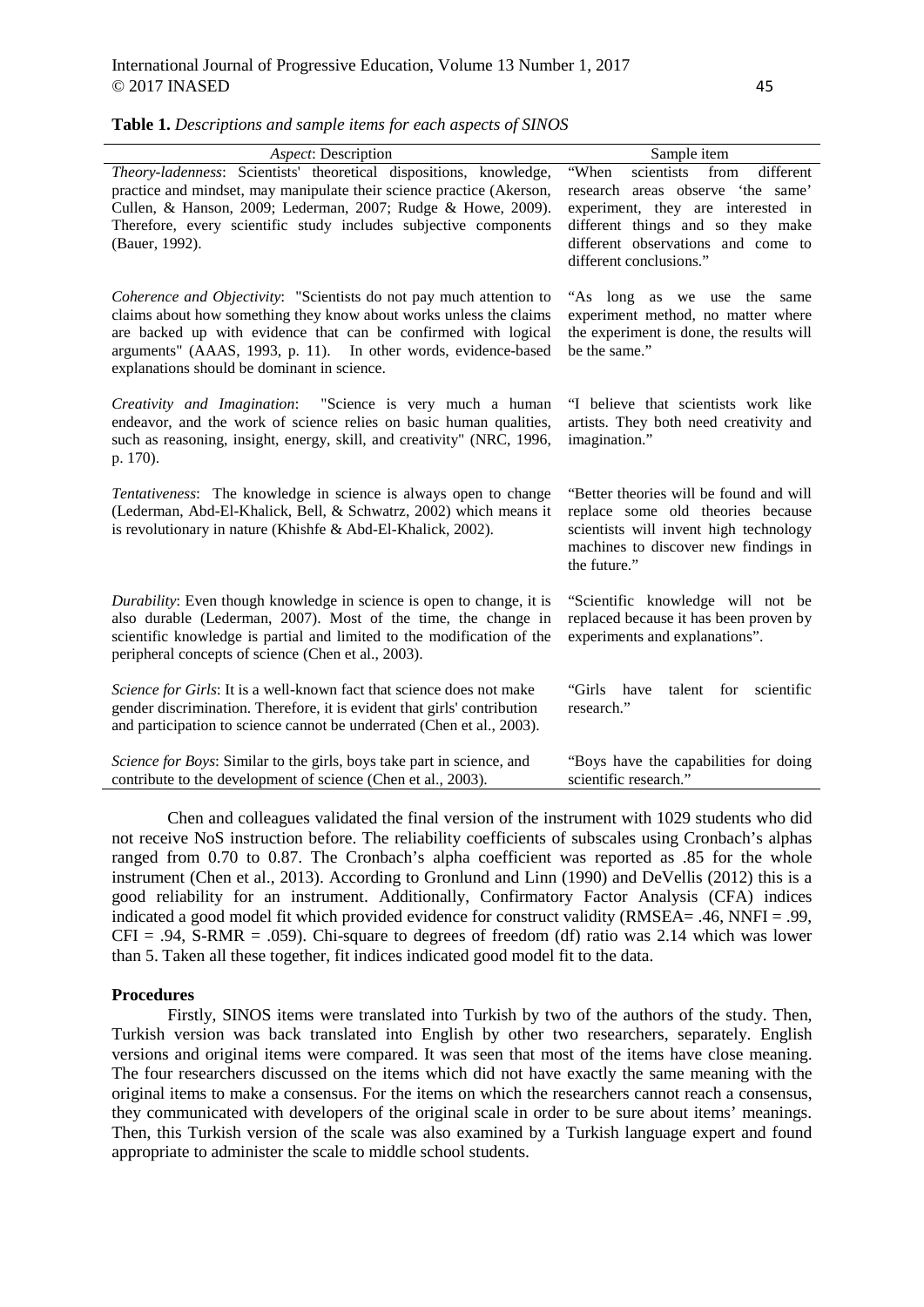| Aspect: Description                                                                                                                                                                                                                                                                                                          | Sample item                                                                                                                                                                                                            |
|------------------------------------------------------------------------------------------------------------------------------------------------------------------------------------------------------------------------------------------------------------------------------------------------------------------------------|------------------------------------------------------------------------------------------------------------------------------------------------------------------------------------------------------------------------|
| Theory-ladenness: Scientists' theoretical dispositions, knowledge,<br>practice and mindset, may manipulate their science practice (Akerson,<br>Cullen, & Hanson, 2009; Lederman, 2007; Rudge & Howe, 2009).<br>Therefore, every scientific study includes subjective components<br>(Bauer, 1992).                            | scientists from<br>"When<br>different<br>research areas observe 'the same'<br>experiment, they are interested in<br>different things and so they make<br>different observations and come to<br>different conclusions." |
| Coherence and Objectivity: "Scientists do not pay much attention to<br>claims about how something they know about works unless the claims<br>are backed up with evidence that can be confirmed with logical<br>arguments" (AAAS, 1993, p. 11). In other words, evidence-based<br>explanations should be dominant in science. | "As long as we use the<br>same<br>experiment method, no matter where<br>the experiment is done, the results will<br>be the same."                                                                                      |
| <i>Creativity and Imagination</i> : "Science is very much a human<br>endeavor, and the work of science relies on basic human qualities,<br>such as reasoning, insight, energy, skill, and creativity" (NRC, 1996,<br>p. 170).                                                                                                | "I believe that scientists work like<br>artists. They both need creativity and<br>imagination."                                                                                                                        |
| Tentativeness: The knowledge in science is always open to change<br>(Lederman, Abd-El-Khalick, Bell, & Schwatrz, 2002) which means it<br>is revolutionary in nature (Khishfe & Abd-El-Khalick, 2002).                                                                                                                        | "Better theories will be found and will<br>replace some old theories because<br>scientists will invent high technology<br>machines to discover new findings in<br>the future."                                         |
| Durability: Even though knowledge in science is open to change, it is<br>also durable (Lederman, 2007). Most of the time, the change in<br>scientific knowledge is partial and limited to the modification of the                                                                                                            | "Scientific knowledge will not be<br>replaced because it has been proven by<br>experiments and explanations".                                                                                                          |

**Table 1.** *Descriptions and sample items for each aspects of SINOS*

peripheral concepts of science (Chen et al., 2003).

*Science for Girls*: It is a well-known fact that science does not make gender discrimination. Therefore, it is evident that girls' contribution and participation to science cannot be underrated (Chen et al., 2003). "Girls have talent for scientific research."

*Science for Boys*: Similar to the girls, boys take part in science, and contribute to the development of science (Chen et al., 2003). "Boys have the capabilities for doing scientific research."

Chen and colleagues validated the final version of the instrument with 1029 students who did not receive NoS instruction before. The reliability coefficients of subscales using Cronbach's alphas ranged from 0.70 to 0.87. The Cronbach's alpha coefficient was reported as .85 for the whole instrument (Chen et al., 2013). According to Gronlund and Linn (1990) and DeVellis (2012) this is a good reliability for an instrument. Additionally, Confirmatory Factor Analysis (CFA) indices indicated a good model fit which provided evidence for construct validity (RMSEA= .46, NNFI = .99,  $CFI = .94$ , S-RMR = .059). Chi-square to degrees of freedom (df) ratio was 2.14 which was lower than 5. Taken all these together, fit indices indicated good model fit to the data.

#### **Procedures**

Firstly, SINOS items were translated into Turkish by two of the authors of the study. Then, Turkish version was back translated into English by other two researchers, separately. English versions and original items were compared. It was seen that most of the items have close meaning. The four researchers discussed on the items which did not have exactly the same meaning with the original items to make a consensus. For the items on which the researchers cannot reach a consensus, they communicated with developers of the original scale in order to be sure about items' meanings. Then, this Turkish version of the scale was also examined by a Turkish language expert and found appropriate to administer the scale to middle school students.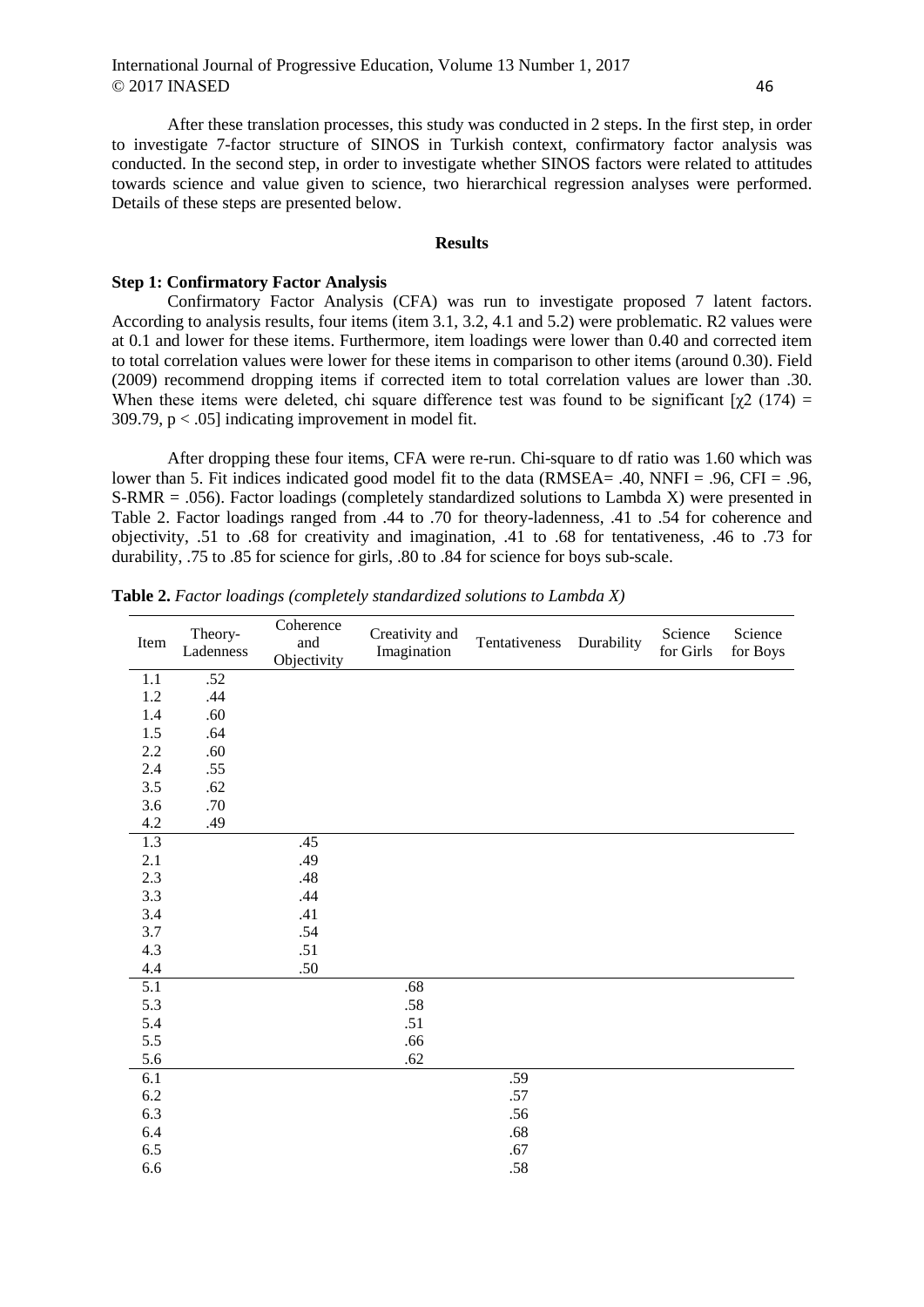After these translation processes, this study was conducted in 2 steps. In the first step, in order to investigate 7-factor structure of SINOS in Turkish context, confirmatory factor analysis was conducted. In the second step, in order to investigate whether SINOS factors were related to attitudes towards science and value given to science, two hierarchical regression analyses were performed. Details of these steps are presented below.

#### **Results**

## **Step 1: Confirmatory Factor Analysis**

Confirmatory Factor Analysis (CFA) was run to investigate proposed 7 latent factors. According to analysis results, four items (item 3.1, 3.2, 4.1 and 5.2) were problematic. R2 values were at 0.1 and lower for these items. Furthermore, item loadings were lower than 0.40 and corrected item to total correlation values were lower for these items in comparison to other items (around 0.30). Field (2009) recommend dropping items if corrected item to total correlation values are lower than .30. When these items were deleted, chi square difference test was found to be significant  $[\gamma 2 (174) =$ 309.79,  $p < .05$ ] indicating improvement in model fit.

After dropping these four items, CFA were re-run. Chi-square to df ratio was 1.60 which was lower than 5. Fit indices indicated good model fit to the data (RMSEA= .40, NNFI = .96, CFI = .96, S-RMR = .056). Factor loadings (completely standardized solutions to Lambda X) were presented in Table 2. Factor loadings ranged from .44 to .70 for theory-ladenness, .41 to .54 for coherence and objectivity, .51 to .68 for creativity and imagination, .41 to .68 for tentativeness, .46 to .73 for durability, .75 to .85 for science for girls, .80 to .84 for science for boys sub-scale.

| Item    | Theory-<br>Ladenness | Coherence<br>and<br>Objectivity | Creativity and<br>Imagination | Tentativeness | Durability | Science<br>for Girls | Science<br>for Boys |
|---------|----------------------|---------------------------------|-------------------------------|---------------|------------|----------------------|---------------------|
| 1.1     | .52                  |                                 |                               |               |            |                      |                     |
| 1.2     | .44                  |                                 |                               |               |            |                      |                     |
| 1.4     | .60                  |                                 |                               |               |            |                      |                     |
| 1.5     | .64                  |                                 |                               |               |            |                      |                     |
| 2.2     | .60                  |                                 |                               |               |            |                      |                     |
| 2.4     | .55                  |                                 |                               |               |            |                      |                     |
| 3.5     | .62                  |                                 |                               |               |            |                      |                     |
| 3.6     | .70                  |                                 |                               |               |            |                      |                     |
| $4.2\,$ | .49                  |                                 |                               |               |            |                      |                     |
| 1.3     |                      | .45                             |                               |               |            |                      |                     |
| 2.1     |                      | .49                             |                               |               |            |                      |                     |
| 2.3     |                      | .48                             |                               |               |            |                      |                     |
| 3.3     |                      | .44                             |                               |               |            |                      |                     |
| 3.4     |                      | .41                             |                               |               |            |                      |                     |
| 3.7     |                      | .54                             |                               |               |            |                      |                     |
| 4.3     |                      | .51                             |                               |               |            |                      |                     |
| 4.4     |                      | $.50\,$                         |                               |               |            |                      |                     |
| 5.1     |                      |                                 | .68                           |               |            |                      |                     |
| 5.3     |                      |                                 | .58                           |               |            |                      |                     |
| 5.4     |                      |                                 | .51                           |               |            |                      |                     |
| 5.5     |                      |                                 | .66                           |               |            |                      |                     |
| 5.6     |                      |                                 | .62                           |               |            |                      |                     |
| 6.1     |                      |                                 |                               | .59           |            |                      |                     |
| $6.2\,$ |                      |                                 |                               | .57           |            |                      |                     |
| 6.3     |                      |                                 |                               | .56           |            |                      |                     |
| 6.4     |                      |                                 |                               | .68           |            |                      |                     |
| $6.5\,$ |                      |                                 |                               | .67           |            |                      |                     |
| $6.6\,$ |                      |                                 |                               | .58           |            |                      |                     |

**Table 2.** *Factor loadings (completely standardized solutions to Lambda X)*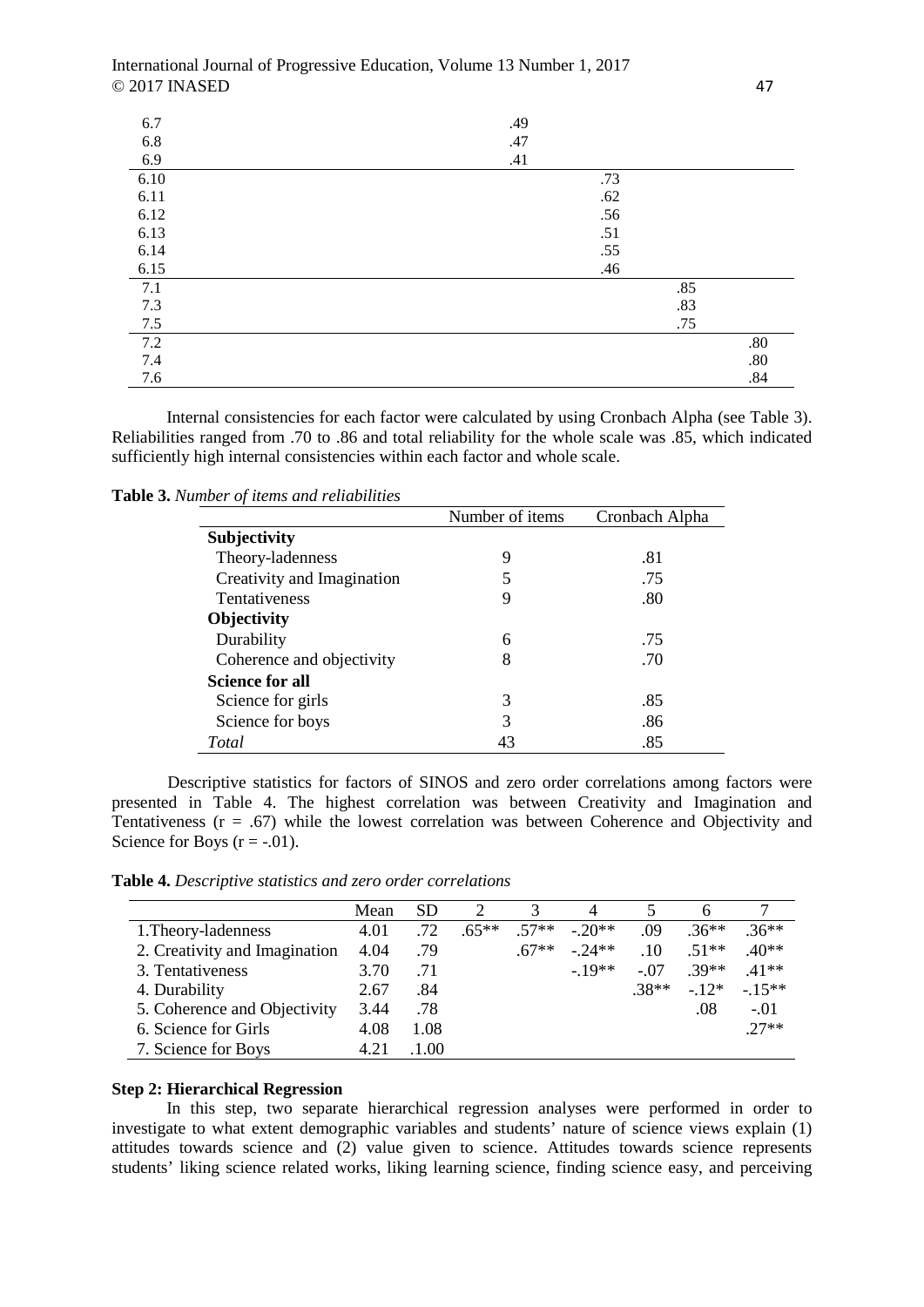| 6.7               | .49 |     |
|-------------------|-----|-----|
| $6.8\,$           | .47 |     |
| 6.9               | .41 |     |
| 6.10              | .73 |     |
| 6.11              | .62 |     |
| 6.12              | .56 |     |
| 6.13              | .51 |     |
| 6.14              | .55 |     |
| 6.15              | .46 |     |
| 7.1               | .85 |     |
| 7.3               | .83 |     |
| $\frac{7.5}{7.2}$ | .75 |     |
|                   |     | .80 |
| 7.4               |     | .80 |
| 7.6               |     | .84 |

Internal consistencies for each factor were calculated by using Cronbach Alpha (see Table 3). Reliabilities ranged from .70 to .86 and total reliability for the whole scale was .85, which indicated sufficiently high internal consistencies within each factor and whole scale.

**Table 3.** *Number of items and reliabilities*

|                            | Number of <i>items</i> | Cronbach Alpha |
|----------------------------|------------------------|----------------|
| Subjectivity               |                        |                |
| Theory-ladenness           | 9                      | .81            |
| Creativity and Imagination | 5                      | .75            |
| <b>Tentativeness</b>       | 9                      | .80            |
| <b>Objectivity</b>         |                        |                |
| Durability                 | 6                      | .75            |
| Coherence and objectivity  | 8                      | .70            |
| <b>Science for all</b>     |                        |                |
| Science for girls          | 3                      | .85            |
| Science for boys           | 3                      | .86            |
| Total                      | 43                     | .85            |

Descriptive statistics for factors of SINOS and zero order correlations among factors were presented in Table 4. The highest correlation was between Creativity and Imagination and Tentativeness  $(r = .67)$  while the lowest correlation was between Coherence and Objectivity and Science for Boys  $(r = -.01)$ .

**Table 4.** *Descriptive statistics and zero order correlations* 

|                               | Mean | <b>SD</b> |         |         | 4       |         |         |         |
|-------------------------------|------|-----------|---------|---------|---------|---------|---------|---------|
| 1. Theory-ladenness           | 4.01 | .72       | $.65**$ | $57**$  | $-20**$ | .09     | $.36**$ | $36***$ |
| 2. Creativity and Imagination | 4.04 | .79       |         | $.67**$ | $-24**$ | .10     | $.51**$ | $.40**$ |
| 3. Tentativeness              | 3.70 | .71       |         |         | $-19**$ | $-.07$  | $.39**$ | $.41**$ |
| 4. Durability                 | 2.67 | .84       |         |         |         | $.38**$ | $-12*$  | $-15**$ |
| 5. Coherence and Objectivity  | 3.44 | .78       |         |         |         |         | .08     | $-.01$  |
| 6. Science for Girls          | 4.08 | 1.08      |         |         |         |         |         | $27**$  |
| 7. Science for Boys           | 4.21 | 1.00      |         |         |         |         |         |         |

## **Step 2: Hierarchical Regression**

In this step, two separate hierarchical regression analyses were performed in order to investigate to what extent demographic variables and students' nature of science views explain (1) attitudes towards science and (2) value given to science. Attitudes towards science represents students' liking science related works, liking learning science, finding science easy, and perceiving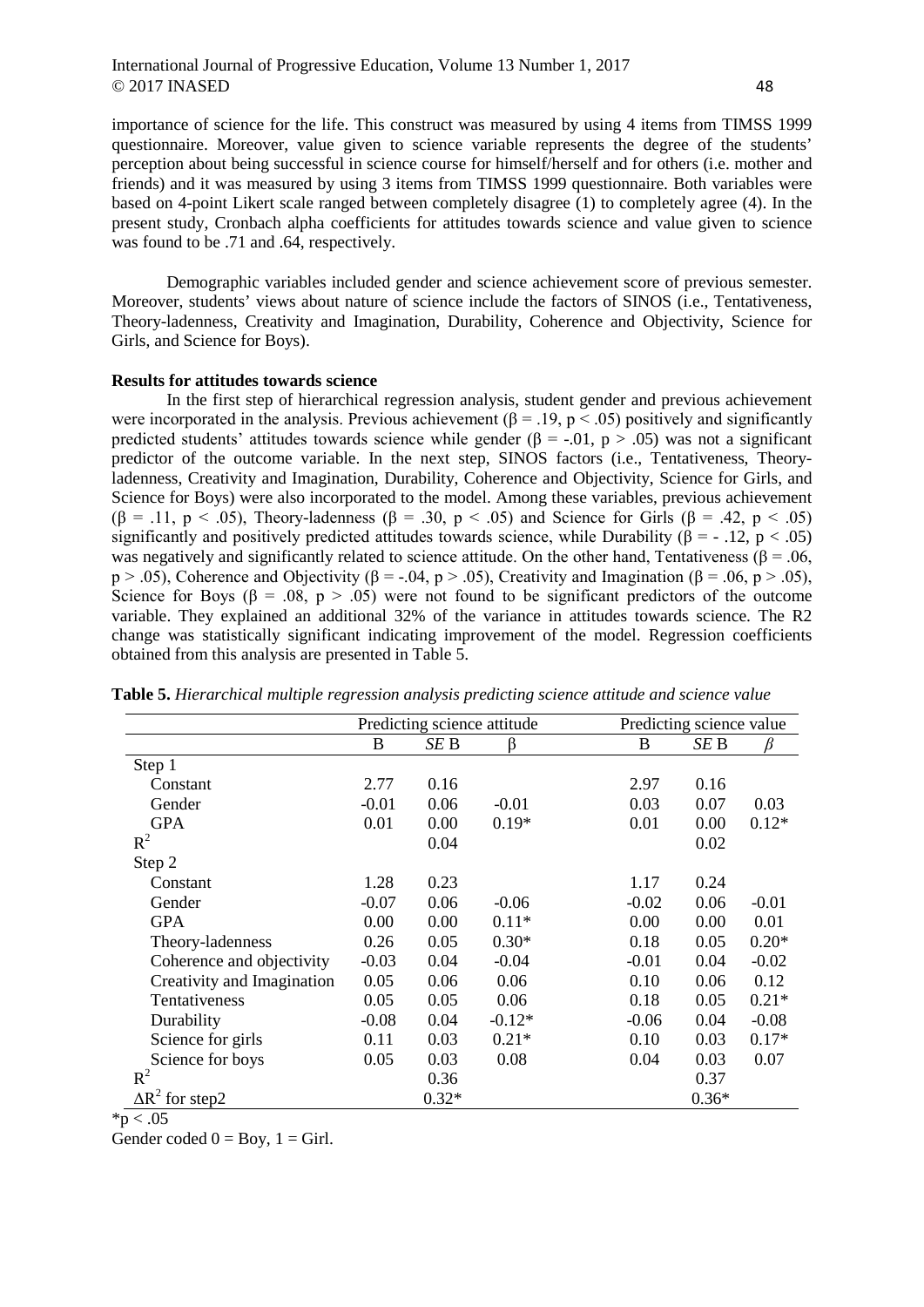importance of science for the life. This construct was measured by using 4 items from TIMSS 1999 questionnaire. Moreover, value given to science variable represents the degree of the students' perception about being successful in science course for himself/herself and for others (i.e. mother and friends) and it was measured by using 3 items from TIMSS 1999 questionnaire. Both variables were based on 4-point Likert scale ranged between completely disagree (1) to completely agree (4). In the present study, Cronbach alpha coefficients for attitudes towards science and value given to science was found to be .71 and .64, respectively.

Demographic variables included gender and science achievement score of previous semester. Moreover, students' views about nature of science include the factors of SINOS (i.e., Tentativeness, Theory-ladenness, Creativity and Imagination, Durability, Coherence and Objectivity, Science for Girls, and Science for Boys).

## **Results for attitudes towards science**

In the first step of hierarchical regression analysis, student gender and previous achievement were incorporated in the analysis. Previous achievement ( $\beta = .19$ , p < .05) positively and significantly predicted students' attitudes towards science while gender ( $\beta$  = -.01, p > .05) was not a significant predictor of the outcome variable. In the next step, SINOS factors (i.e., Tentativeness, Theoryladenness, Creativity and Imagination, Durability, Coherence and Objectivity, Science for Girls, and Science for Boys) were also incorporated to the model. Among these variables, previous achievement (β = .11, p < .05), Theory-ladenness (β = .30, p < .05) and Science for Girls (β = .42, p < .05) significantly and positively predicted attitudes towards science, while Durability ( $\beta = -12$ ,  $p < .05$ ) was negatively and significantly related to science attitude. On the other hand, Tentativeness ( $\beta = .06$ , p > .05), Coherence and Objectivity (β = -.04, p > .05), Creativity and Imagination (β = .06, p > .05), Science for Boys ( $\beta$  = .08, p > .05) were not found to be significant predictors of the outcome variable. They explained an additional 32% of the variance in attitudes towards science. The R2 change was statistically significant indicating improvement of the model. Regression coefficients obtained from this analysis are presented in Table 5.

|                            | Predicting science attitude |         |          |         | Predicting science value |         |  |
|----------------------------|-----------------------------|---------|----------|---------|--------------------------|---------|--|
|                            | B                           | SE B    | ß        | B       | SE B                     | B       |  |
| Step 1                     |                             |         |          |         |                          |         |  |
| Constant                   | 2.77                        | 0.16    |          | 2.97    | 0.16                     |         |  |
| Gender                     | $-0.01$                     | 0.06    | $-0.01$  | 0.03    | 0.07                     | 0.03    |  |
| <b>GPA</b>                 | 0.01                        | 0.00    | $0.19*$  | 0.01    | 0.00                     | $0.12*$ |  |
| $R^2$                      |                             | 0.04    |          |         | 0.02                     |         |  |
| Step 2                     |                             |         |          |         |                          |         |  |
| Constant                   | 1.28                        | 0.23    |          | 1.17    | 0.24                     |         |  |
| Gender                     | $-0.07$                     | 0.06    | $-0.06$  | $-0.02$ | 0.06                     | $-0.01$ |  |
| <b>GPA</b>                 | 0.00                        | 0.00    | $0.11*$  | 0.00    | 0.00                     | 0.01    |  |
| Theory-ladenness           | 0.26                        | 0.05    | $0.30*$  | 0.18    | 0.05                     | $0.20*$ |  |
| Coherence and objectivity  | $-0.03$                     | 0.04    | $-0.04$  | $-0.01$ | 0.04                     | $-0.02$ |  |
| Creativity and Imagination | 0.05                        | 0.06    | 0.06     | 0.10    | 0.06                     | 0.12    |  |
| Tentativeness              | 0.05                        | 0.05    | 0.06     | 0.18    | 0.05                     | $0.21*$ |  |
| Durability                 | $-0.08$                     | 0.04    | $-0.12*$ | $-0.06$ | 0.04                     | $-0.08$ |  |
| Science for girls          | 0.11                        | 0.03    | $0.21*$  | 0.10    | 0.03                     | $0.17*$ |  |
| Science for boys           | 0.05                        | 0.03    | 0.08     | 0.04    | 0.03                     | 0.07    |  |
| $R^2$                      |                             | 0.36    |          |         | 0.37                     |         |  |
| $\Delta R^2$ for step2     |                             | $0.32*$ |          |         | $0.36*$                  |         |  |

**Table 5.** *Hierarchical multiple regression analysis predicting science attitude and science value*

 $*_{p} < .05$ 

Gender coded  $0 = Box$ ,  $1 = Girl$ .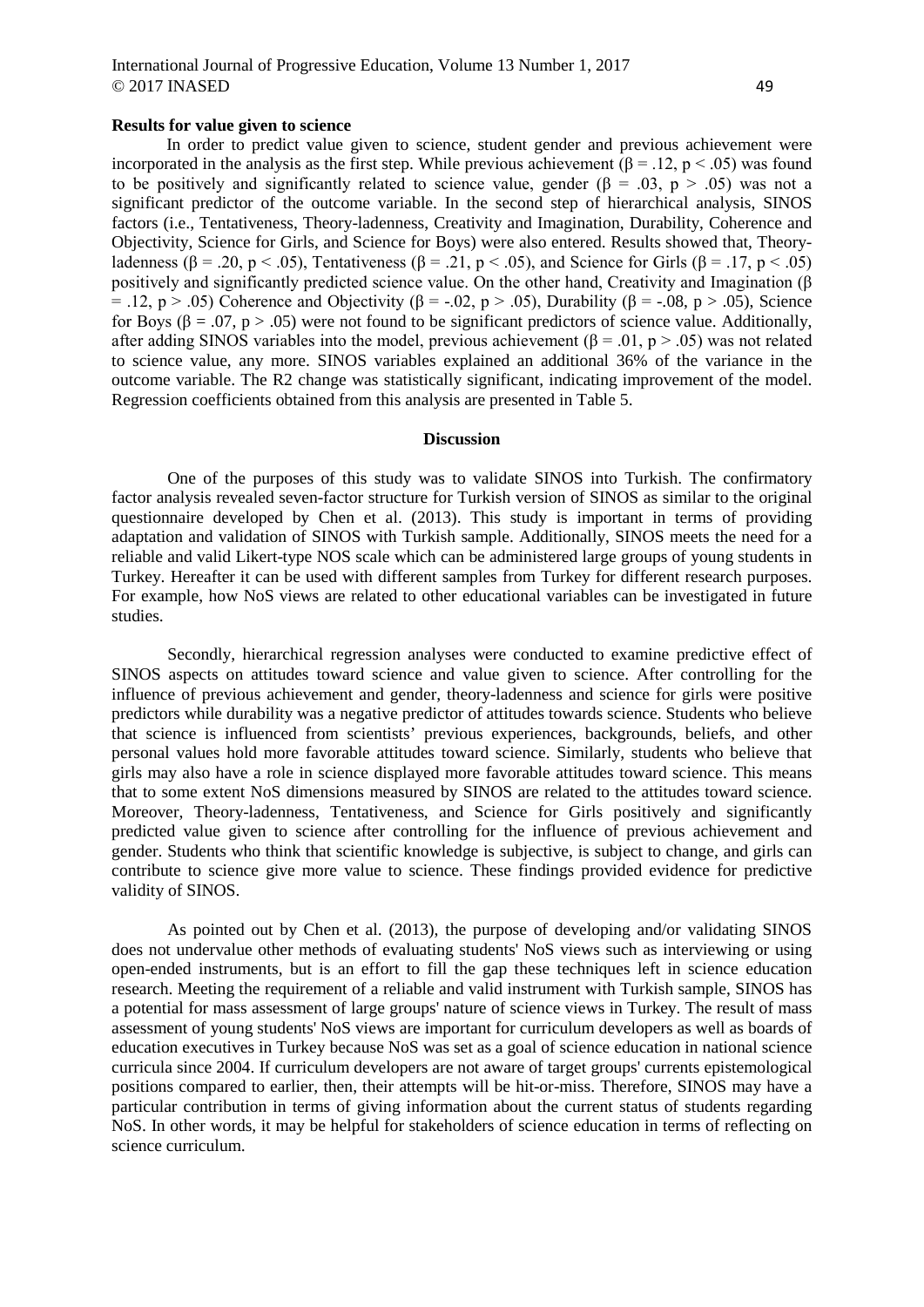## International Journal of Progressive Education, Volume 13 Number 1, 2017  $\odot$  2017 INASED 49

#### **Results for value given to science**

In order to predict value given to science, student gender and previous achievement were incorporated in the analysis as the first step. While previous achievement ( $\beta$  = .12, p < .05) was found to be positively and significantly related to science value, gender ( $\beta = .03$ ,  $p > .05$ ) was not a significant predictor of the outcome variable. In the second step of hierarchical analysis, SINOS factors (i.e., Tentativeness, Theory-ladenness, Creativity and Imagination, Durability, Coherence and Objectivity, Science for Girls, and Science for Boys) were also entered. Results showed that, Theoryladenness ( $\beta$  = .20, p < .05), Tentativeness ( $\beta$  = .21, p < .05), and Science for Girls ( $\beta$  = .17, p < .05) positively and significantly predicted science value. On the other hand, Creativity and Imagination (β = .12, p > .05) Coherence and Objectivity (β = -.02, p > .05), Durability (β = -.08, p > .05), Science for Boys ( $\beta = .07$ ,  $p > .05$ ) were not found to be significant predictors of science value. Additionally, after adding SINOS variables into the model, previous achievement ( $\beta$  = .01, p > .05) was not related to science value, any more. SINOS variables explained an additional 36% of the variance in the outcome variable. The R2 change was statistically significant, indicating improvement of the model. Regression coefficients obtained from this analysis are presented in Table 5.

#### **Discussion**

One of the purposes of this study was to validate SINOS into Turkish. The confirmatory factor analysis revealed seven-factor structure for Turkish version of SINOS as similar to the original questionnaire developed by Chen et al. (2013). This study is important in terms of providing adaptation and validation of SINOS with Turkish sample. Additionally, SINOS meets the need for a reliable and valid Likert-type NOS scale which can be administered large groups of young students in Turkey. Hereafter it can be used with different samples from Turkey for different research purposes. For example, how NoS views are related to other educational variables can be investigated in future studies.

Secondly, hierarchical regression analyses were conducted to examine predictive effect of SINOS aspects on attitudes toward science and value given to science. After controlling for the influence of previous achievement and gender, theory-ladenness and science for girls were positive predictors while durability was a negative predictor of attitudes towards science. Students who believe that science is influenced from scientists' previous experiences, backgrounds, beliefs, and other personal values hold more favorable attitudes toward science. Similarly, students who believe that girls may also have a role in science displayed more favorable attitudes toward science. This means that to some extent NoS dimensions measured by SINOS are related to the attitudes toward science. Moreover, Theory-ladenness, Tentativeness, and Science for Girls positively and significantly predicted value given to science after controlling for the influence of previous achievement and gender. Students who think that scientific knowledge is subjective, is subject to change, and girls can contribute to science give more value to science. These findings provided evidence for predictive validity of SINOS.

As pointed out by Chen et al. (2013), the purpose of developing and/or validating SINOS does not undervalue other methods of evaluating students' NoS views such as interviewing or using open-ended instruments, but is an effort to fill the gap these techniques left in science education research. Meeting the requirement of a reliable and valid instrument with Turkish sample, SINOS has a potential for mass assessment of large groups' nature of science views in Turkey. The result of mass assessment of young students' NoS views are important for curriculum developers as well as boards of education executives in Turkey because NoS was set as a goal of science education in national science curricula since 2004. If curriculum developers are not aware of target groups' currents epistemological positions compared to earlier, then, their attempts will be hit-or-miss. Therefore, SINOS may have a particular contribution in terms of giving information about the current status of students regarding NoS. In other words, it may be helpful for stakeholders of science education in terms of reflecting on science curriculum.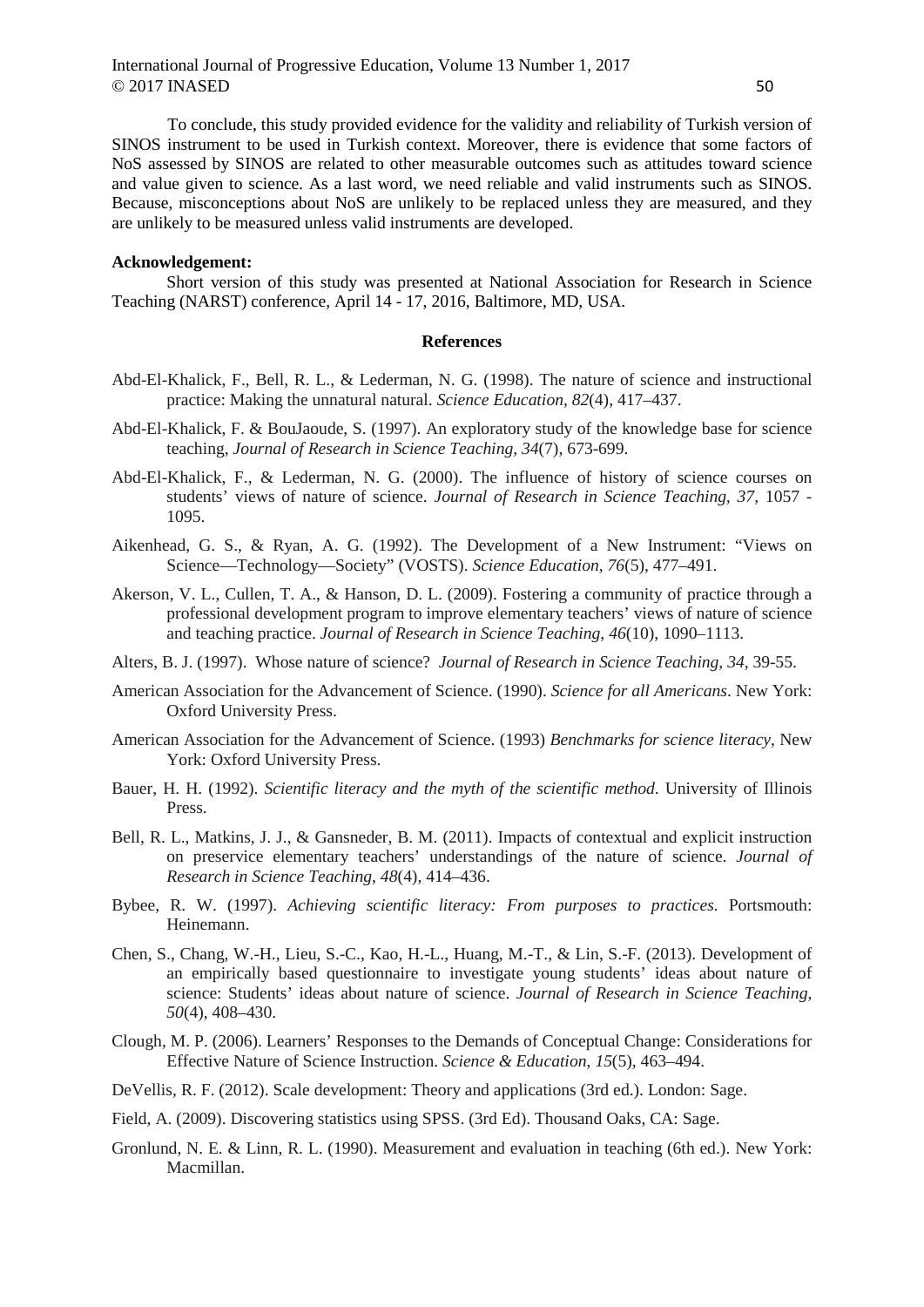To conclude, this study provided evidence for the validity and reliability of Turkish version of SINOS instrument to be used in Turkish context. Moreover, there is evidence that some factors of NoS assessed by SINOS are related to other measurable outcomes such as attitudes toward science and value given to science. As a last word, we need reliable and valid instruments such as SINOS. Because, misconceptions about NoS are unlikely to be replaced unless they are measured, and they are unlikely to be measured unless valid instruments are developed.

### **Acknowledgement:**

Short version of this study was presented at National Association for Research in Science Teaching (NARST) conference, April 14 - 17, 2016, Baltimore, MD, USA.

### **References**

- Abd-El-Khalick, F., Bell, R. L., & Lederman, N. G. (1998). The nature of science and instructional practice: Making the unnatural natural. *Science Education, 82*(4), 417–437.
- Abd-El-Khalick, F. & BouJaoude, S. (1997). An exploratory study of the knowledge base for science teaching, *Journal of Research in Science Teaching, 34*(7), 673-699.
- Abd-El-Khalick, F., & Lederman, N. G. (2000). The influence of history of science courses on students' views of nature of science. *Journal of Research in Science Teaching, 37,* 1057 - 1095.
- Aikenhead, G. S., & Ryan, A. G. (1992). The Development of a New Instrument: "Views on Science—Technology—Society" (VOSTS). *Science Education*, *76*(5), 477–491.
- Akerson, V. L., Cullen, T. A., & Hanson, D. L. (2009). Fostering a community of practice through a professional development program to improve elementary teachers' views of nature of science and teaching practice. *Journal of Research in Science Teaching*, *46*(10), 1090–1113.
- Alters, B. J. (1997). Whose nature of science? *Journal of Research in Science Teaching*, *34,* 39-55.
- American Association for the Advancement of Science. (1990). *Science for all Americans*. New York: Oxford University Press.
- American Association for the Advancement of Science. (1993) *Benchmarks for science literacy*, New York: Oxford University Press.
- Bauer, H. H. (1992). *Scientific literacy and the myth of the scientific method*. University of Illinois Press.
- Bell, R. L., Matkins, J. J., & Gansneder, B. M. (2011). Impacts of contextual and explicit instruction on preservice elementary teachers' understandings of the nature of science. *Journal of Research in Science Teaching*, *48*(4), 414–436.
- Bybee, R. W. (1997). *Achieving scientific literacy: From purposes to practices*. Portsmouth: Heinemann.
- Chen, S., Chang, W.-H., Lieu, S.-C., Kao, H.-L., Huang, M.-T., & Lin, S.-F. (2013). Development of an empirically based questionnaire to investigate young students' ideas about nature of science: Students' ideas about nature of science. *Journal of Research in Science Teaching*, *50*(4), 408–430.
- Clough, M. P. (2006). Learners' Responses to the Demands of Conceptual Change: Considerations for Effective Nature of Science Instruction. *Science & Education*, *15*(5), 463–494.
- DeVellis, R. F. (2012). Scale development: Theory and applications (3rd ed.). London: Sage.
- Field, A. (2009). Discovering statistics using SPSS. (3rd Ed). Thousand Oaks, CA: Sage.
- Gronlund, N. E. & Linn, R. L. (1990). Measurement and evaluation in teaching (6th ed.). New York: Macmillan.